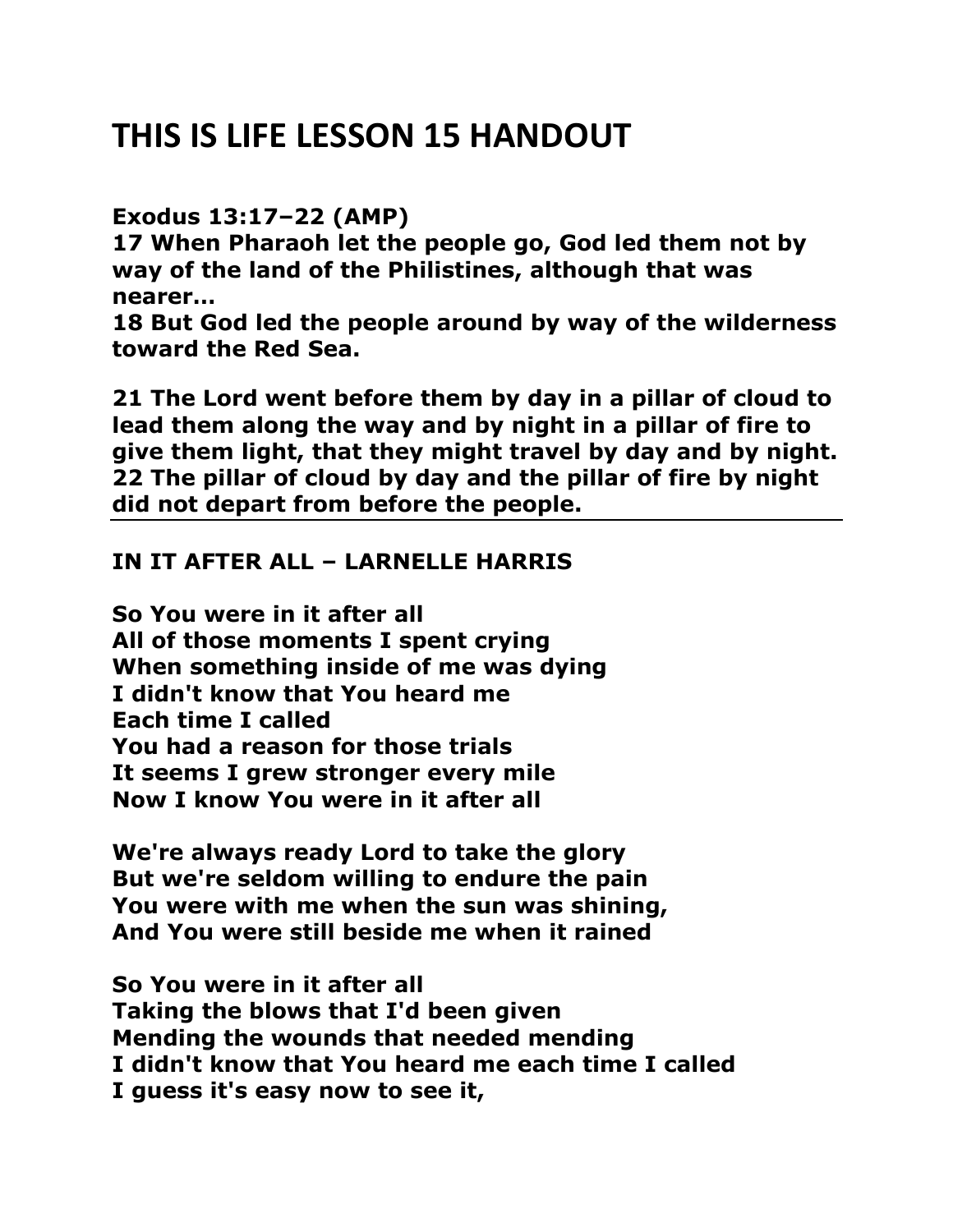# **THIS IS LIFE LESSON 15 HANDOUT**

#### **Exodus 13:17–22 (AMP)**

**17 When Pharaoh let the people go, God led them not by way of the land of the Philistines, although that was nearer…**

**18 But God led the people around by way of the wilderness toward the Red Sea.**

**21 The Lord went before them by day in a pillar of cloud to lead them along the way and by night in a pillar of fire to give them light, that they might travel by day and by night. 22 The pillar of cloud by day and the pillar of fire by night did not depart from before the people.** 

#### **IN IT AFTER ALL – LARNELLE HARRIS**

**So You were in it after all All of those moments I spent crying When something inside of me was dying I didn't know that You heard me Each time I called You had a reason for those trials It seems I grew stronger every mile Now I know You were in it after all**

**We're always ready Lord to take the glory But we're seldom willing to endure the pain You were with me when the sun was shining, And You were still beside me when it rained**

**So You were in it after all Taking the blows that I'd been given Mending the wounds that needed mending I didn't know that You heard me each time I called I guess it's easy now to see it,**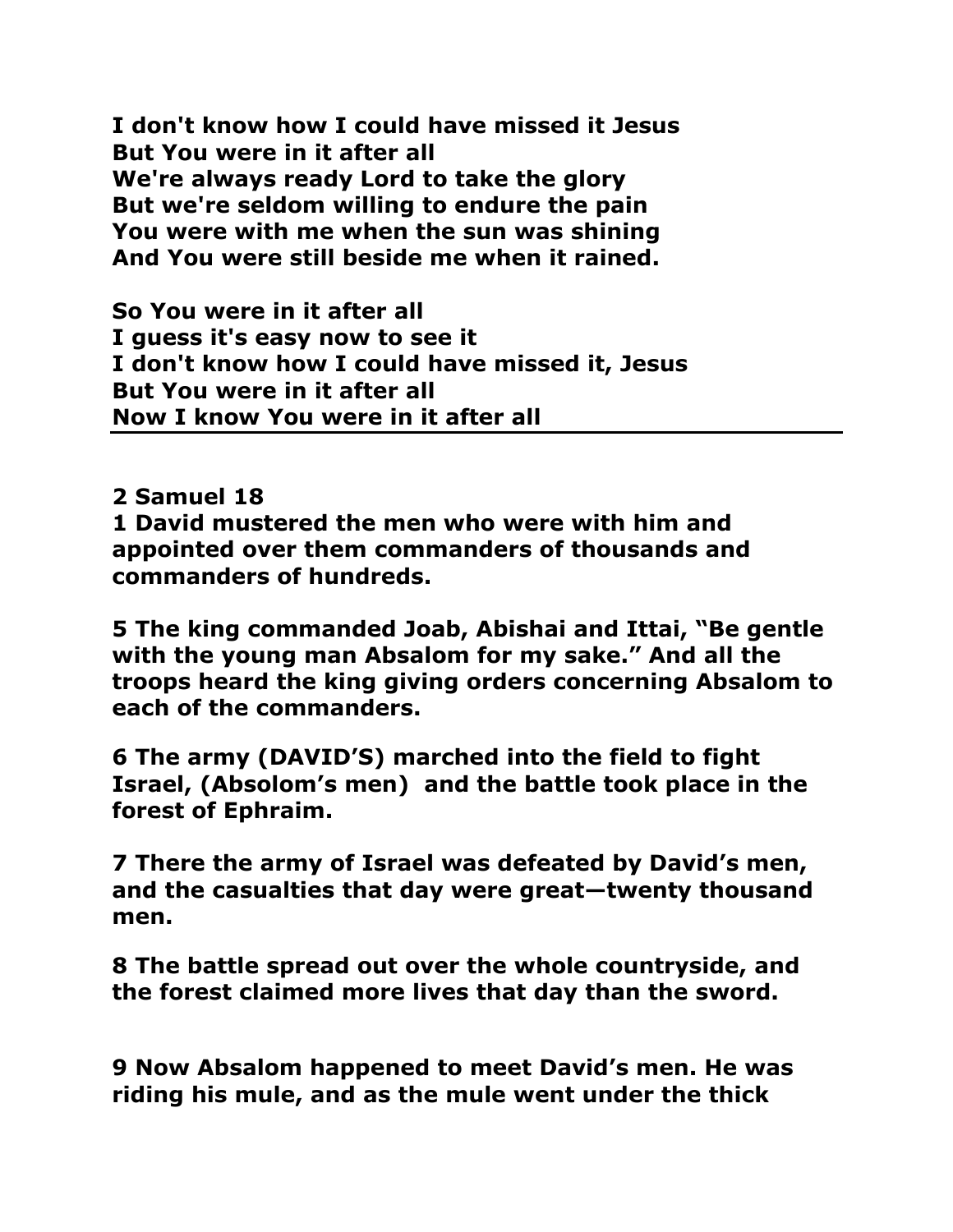**I don't know how I could have missed it Jesus But You were in it after all We're always ready Lord to take the glory But we're seldom willing to endure the pain You were with me when the sun was shining And You were still beside me when it rained.**

**So You were in it after all I guess it's easy now to see it I don't know how I could have missed it, Jesus But You were in it after all Now I know You were in it after all**

## **2 Samuel 18**

**1 David mustered the men who were with him and appointed over them commanders of thousands and commanders of hundreds.** 

**5 The king commanded Joab, Abishai and Ittai, "Be gentle with the young man Absalom for my sake." And all the troops heard the king giving orders concerning Absalom to each of the commanders.** 

**6 The army (DAVID'S) marched into the field to fight Israel, (Absolom's men) and the battle took place in the forest of Ephraim.** 

**7 There the army of Israel was defeated by David's men, and the casualties that day were great—twenty thousand men.** 

**8 The battle spread out over the whole countryside, and the forest claimed more lives that day than the sword.**

**9 Now Absalom happened to meet David's men. He was riding his mule, and as the mule went under the thick**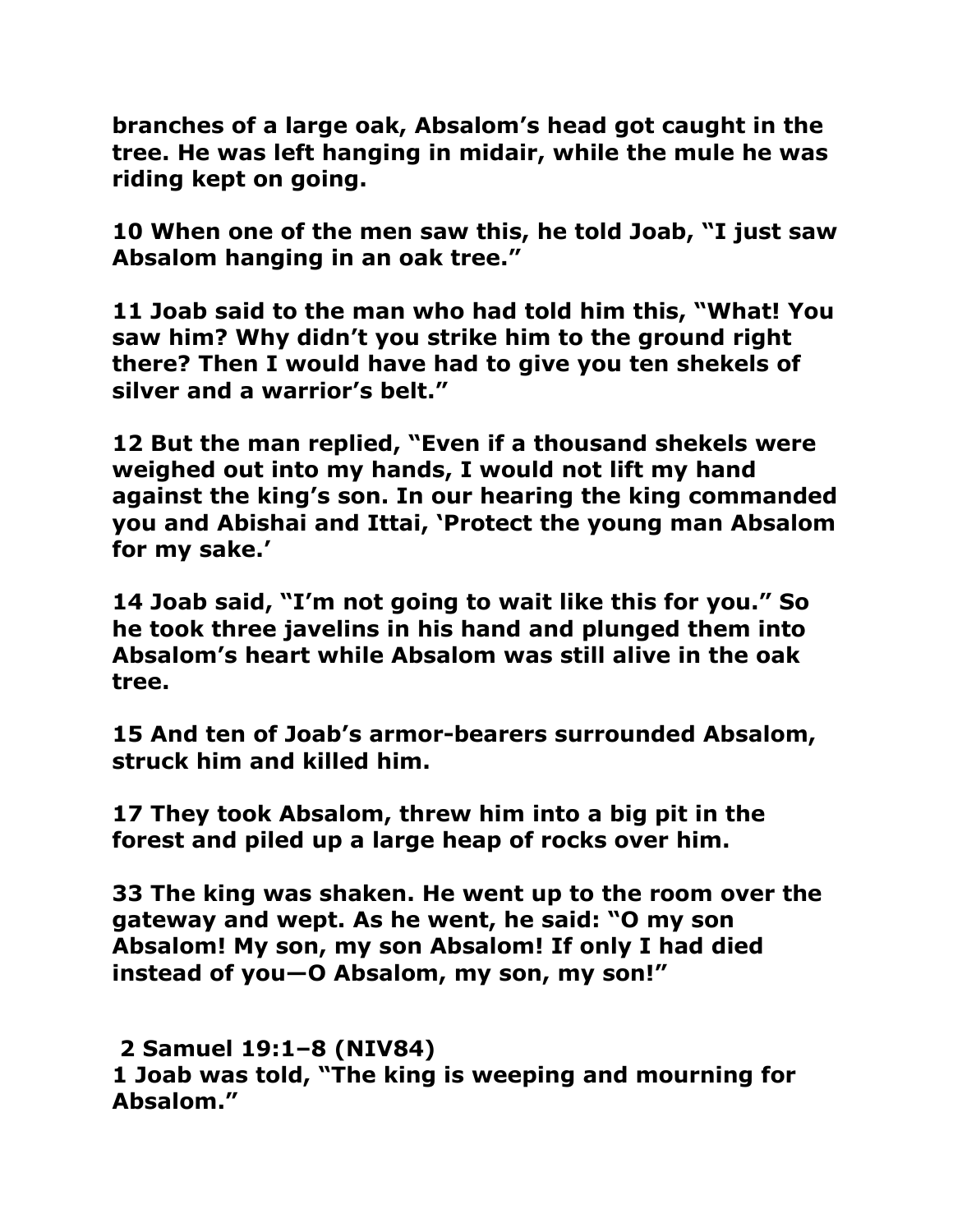**branches of a large oak, Absalom's head got caught in the tree. He was left hanging in midair, while the mule he was riding kept on going.** 

**10 When one of the men saw this, he told Joab, "I just saw Absalom hanging in an oak tree."** 

**11 Joab said to the man who had told him this, "What! You saw him? Why didn't you strike him to the ground right there? Then I would have had to give you ten shekels of silver and a warrior's belt."** 

**12 But the man replied, "Even if a thousand shekels were weighed out into my hands, I would not lift my hand against the king's son. In our hearing the king commanded you and Abishai and Ittai, 'Protect the young man Absalom for my sake.'** 

**14 Joab said, "I'm not going to wait like this for you." So he took three javelins in his hand and plunged them into Absalom's heart while Absalom was still alive in the oak tree.** 

**15 And ten of Joab's armor-bearers surrounded Absalom, struck him and killed him.** 

**17 They took Absalom, threw him into a big pit in the forest and piled up a large heap of rocks over him.** 

**33 The king was shaken. He went up to the room over the gateway and wept. As he went, he said: "O my son Absalom! My son, my son Absalom! If only I had died instead of you—O Absalom, my son, my son!"** 

**2 Samuel 19:1–8 (NIV84) 1 Joab was told, "The king is weeping and mourning for Absalom."**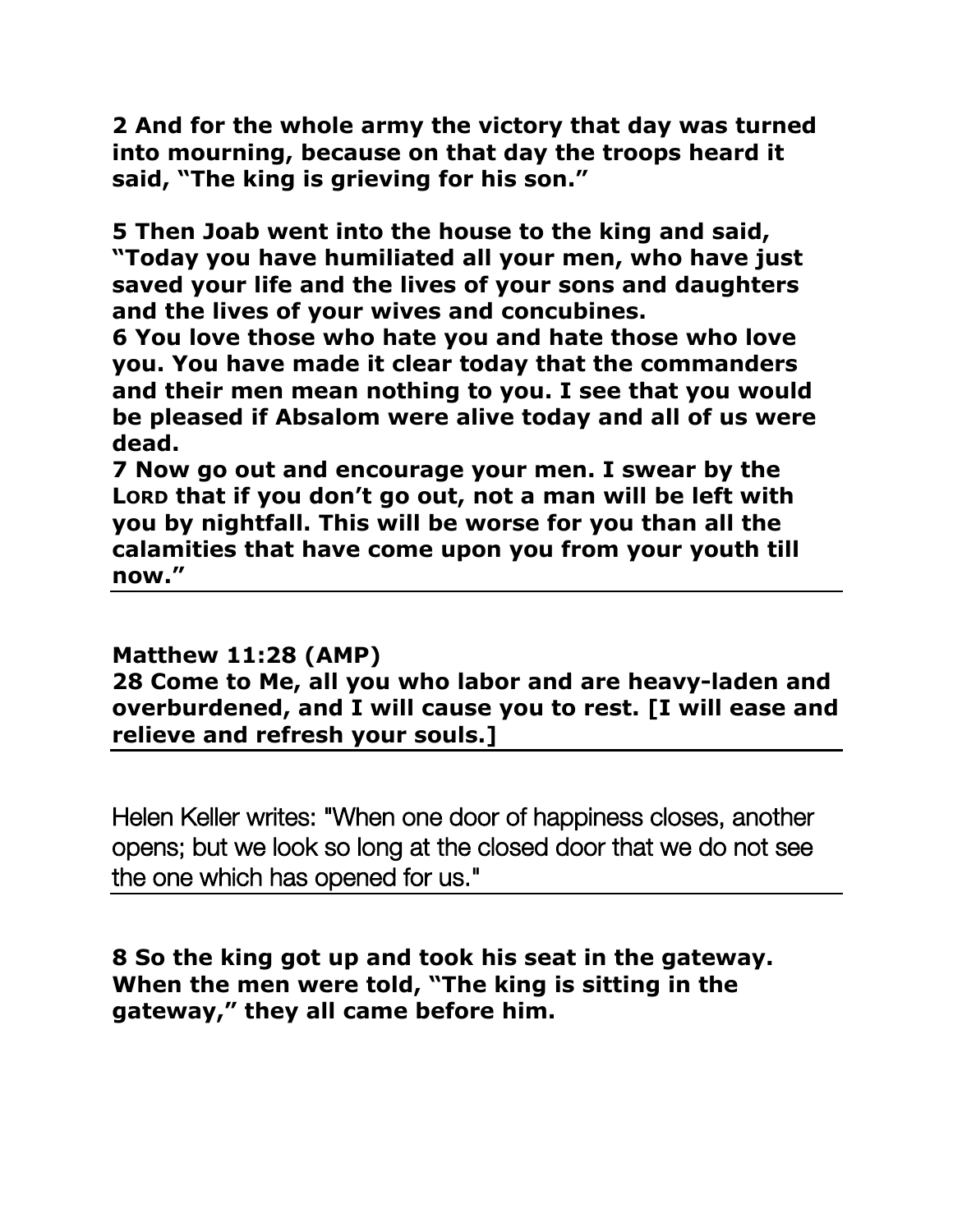**2 And for the whole army the victory that day was turned into mourning, because on that day the troops heard it said, "The king is grieving for his son."** 

**5 Then Joab went into the house to the king and said, "Today you have humiliated all your men, who have just saved your life and the lives of your sons and daughters and the lives of your wives and concubines.** 

**6 You love those who hate you and hate those who love you. You have made it clear today that the commanders and their men mean nothing to you. I see that you would be pleased if Absalom were alive today and all of us were dead.** 

**7 Now go out and encourage your men. I swear by the LORD that if you don't go out, not a man will be left with you by nightfall. This will be worse for you than all the calamities that have come upon you from your youth till now."** 

## **Matthew 11:28 (AMP)**

**28 Come to Me, all you who labor and are heavy-laden and overburdened, and I will cause you to rest. [I will ease and relieve and refresh your souls.]**

Helen Keller writes: "When one door of happiness closes, another opens; but we look so long at the closed door that we do not see the one which has opened for us."

**8 So the king got up and took his seat in the gateway. When the men were told, "The king is sitting in the gateway," they all came before him.**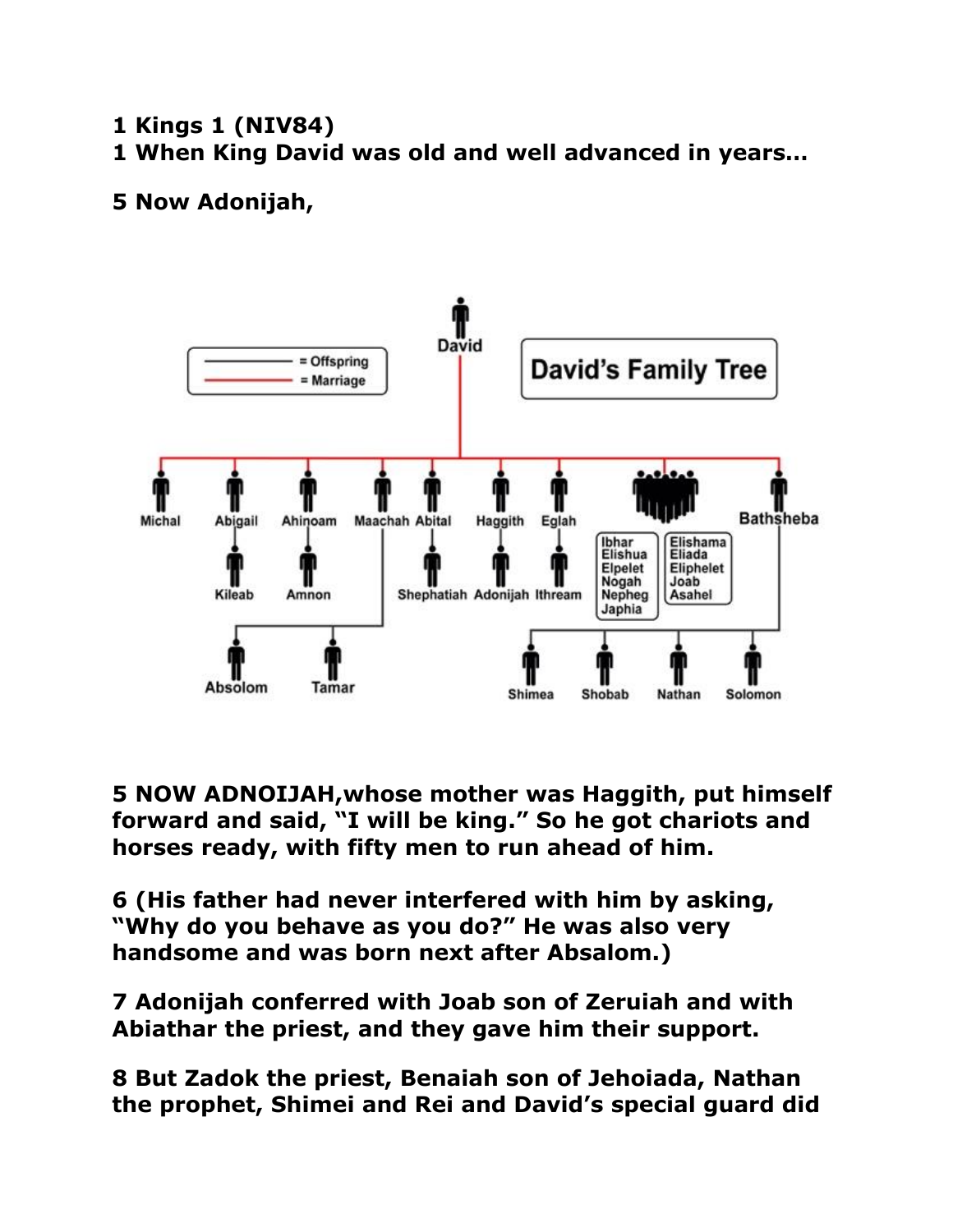# **1 Kings 1 (NIV84) 1 When King David was old and well advanced in years…**

# **5 Now Adonijah,**



**5 NOW ADNOIJAH,whose mother was Haggith, put himself forward and said, "I will be king." So he got chariots and horses ready, with fifty men to run ahead of him.** 

**6 (His father had never interfered with him by asking, "Why do you behave as you do?" He was also very handsome and was born next after Absalom.)**

**7 Adonijah conferred with Joab son of Zeruiah and with Abiathar the priest, and they gave him their support.** 

**8 But Zadok the priest, Benaiah son of Jehoiada, Nathan the prophet, Shimei and Rei and David's special guard did**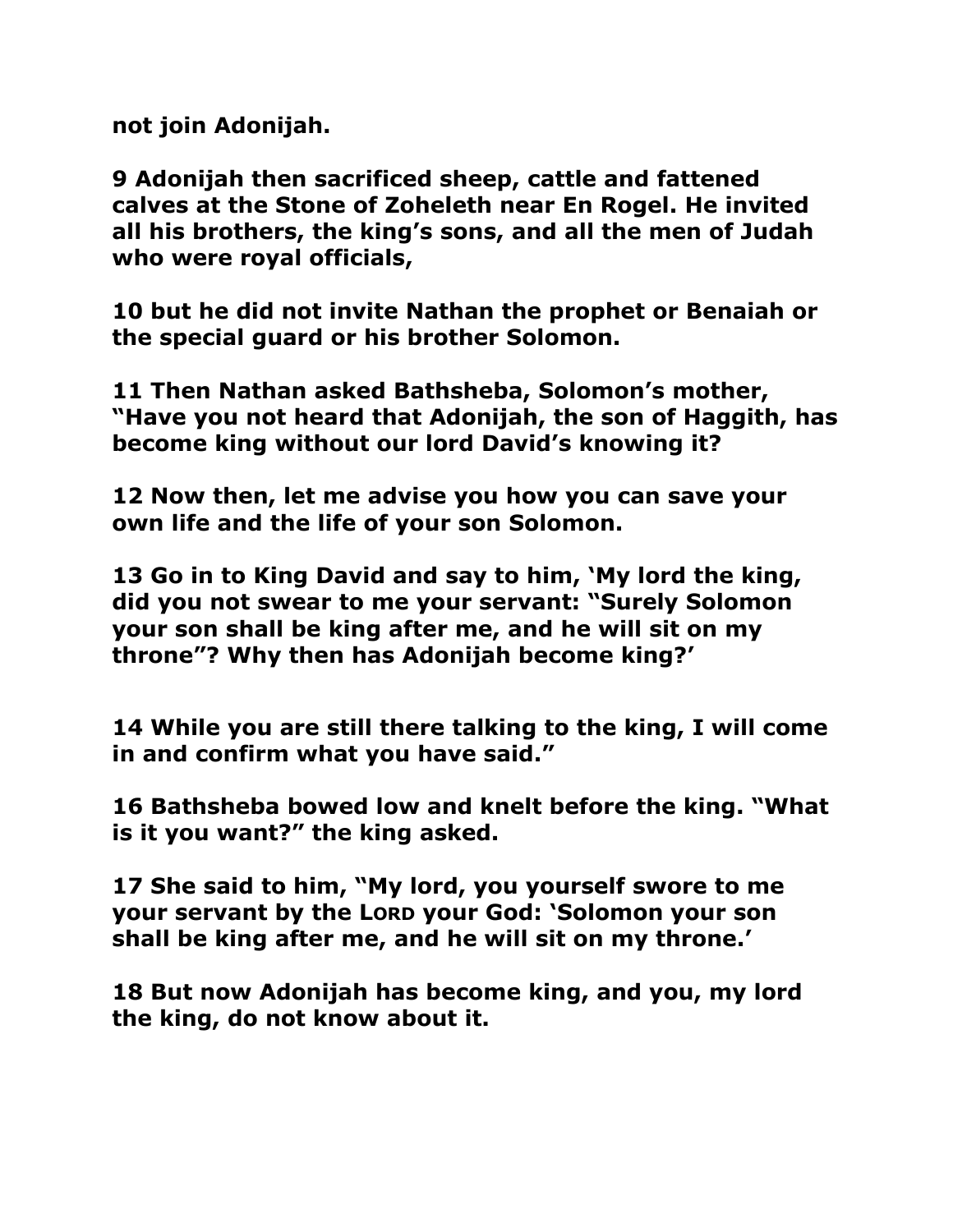**not join Adonijah.** 

**9 Adonijah then sacrificed sheep, cattle and fattened calves at the Stone of Zoheleth near En Rogel. He invited all his brothers, the king's sons, and all the men of Judah who were royal officials,** 

**10 but he did not invite Nathan the prophet or Benaiah or the special guard or his brother Solomon.** 

**11 Then Nathan asked Bathsheba, Solomon's mother, "Have you not heard that Adonijah, the son of Haggith, has become king without our lord David's knowing it?** 

**12 Now then, let me advise you how you can save your own life and the life of your son Solomon.** 

**13 Go in to King David and say to him, 'My lord the king, did you not swear to me your servant: "Surely Solomon your son shall be king after me, and he will sit on my throne"? Why then has Adonijah become king?'** 

**14 While you are still there talking to the king, I will come in and confirm what you have said."** 

**16 Bathsheba bowed low and knelt before the king. "What is it you want?" the king asked.** 

**17 She said to him, "My lord, you yourself swore to me your servant by the LORD your God: 'Solomon your son shall be king after me, and he will sit on my throne.'** 

**18 But now Adonijah has become king, and you, my lord the king, do not know about it.**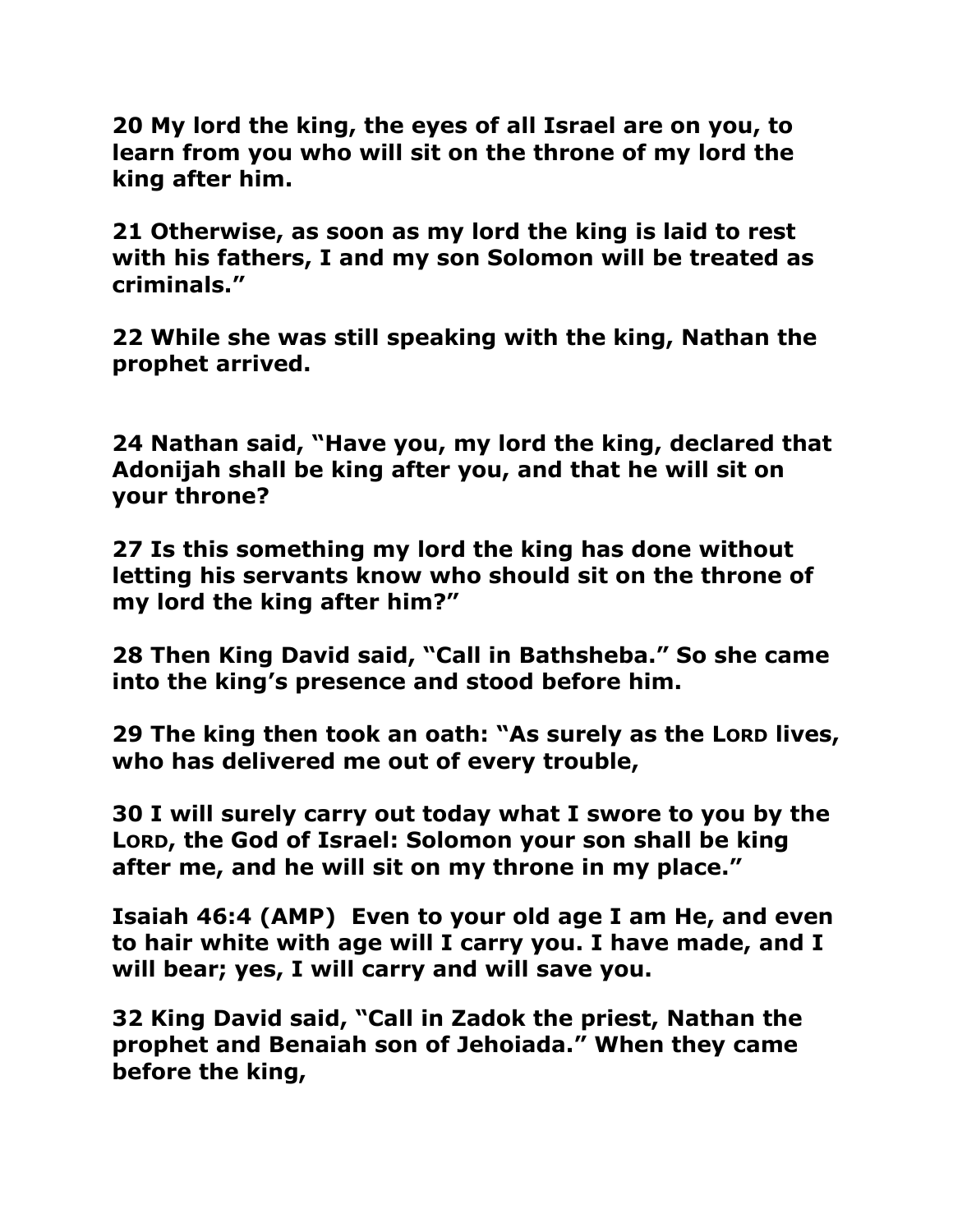**20 My lord the king, the eyes of all Israel are on you, to learn from you who will sit on the throne of my lord the king after him.** 

**21 Otherwise, as soon as my lord the king is laid to rest with his fathers, I and my son Solomon will be treated as criminals."** 

**22 While she was still speaking with the king, Nathan the prophet arrived.** 

**24 Nathan said, "Have you, my lord the king, declared that Adonijah shall be king after you, and that he will sit on your throne?** 

**27 Is this something my lord the king has done without letting his servants know who should sit on the throne of my lord the king after him?"** 

**28 Then King David said, "Call in Bathsheba." So she came into the king's presence and stood before him.** 

**29 The king then took an oath: "As surely as the LORD lives, who has delivered me out of every trouble,** 

**30 I will surely carry out today what I swore to you by the LORD, the God of Israel: Solomon your son shall be king after me, and he will sit on my throne in my place."** 

**Isaiah 46:4 (AMP) Even to your old age I am He, and even to hair white with age will I carry you. I have made, and I will bear; yes, I will carry and will save you.** 

**32 King David said, "Call in Zadok the priest, Nathan the prophet and Benaiah son of Jehoiada." When they came before the king,**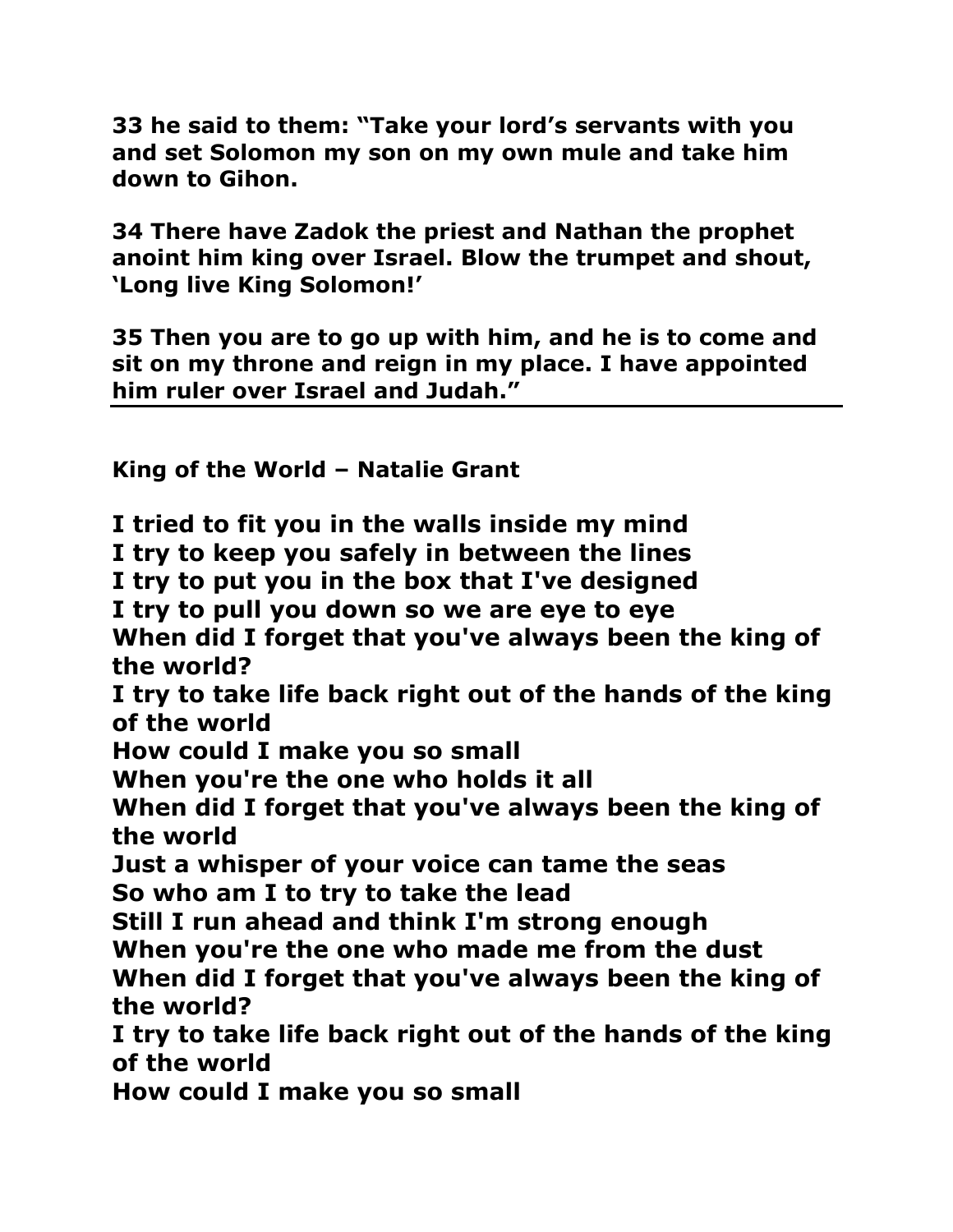**33 he said to them: "Take your lord's servants with you and set Solomon my son on my own mule and take him down to Gihon.** 

**34 There have Zadok the priest and Nathan the prophet anoint him king over Israel. Blow the trumpet and shout, 'Long live King Solomon!'**

**35 Then you are to go up with him, and he is to come and sit on my throne and reign in my place. I have appointed him ruler over Israel and Judah."**

**King of the World – Natalie Grant**

**I tried to fit you in the walls inside my mind I try to keep you safely in between the lines I try to put you in the box that I've designed I try to pull you down so we are eye to eye When did I forget that you've always been the king of the world? I try to take life back right out of the hands of the king of the world How could I make you so small When you're the one who holds it all When did I forget that you've always been the king of the world Just a whisper of your voice can tame the seas So who am I to try to take the lead Still I run ahead and think I'm strong enough When you're the one who made me from the dust When did I forget that you've always been the king of the world? I try to take life back right out of the hands of the king of the world How could I make you so small**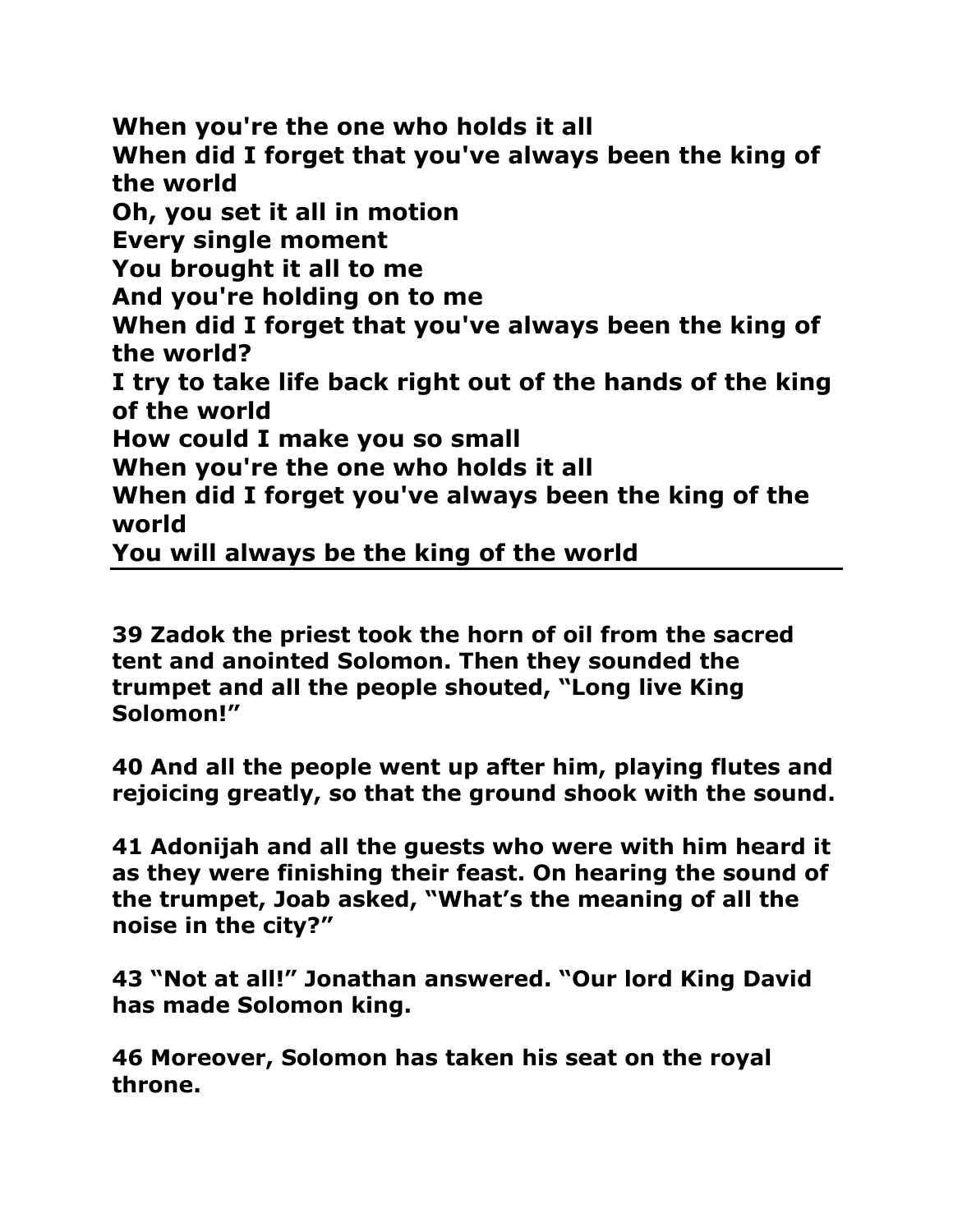**When you're the one who holds it all When did I forget that you've always been the king of the world Oh, you set it all in motion Every single moment You brought it all to me And you're holding on to me When did I forget that you've always been the king of the world? I try to take life back right out of the hands of the king of the world How could I make you so small When you're the one who holds it all When did I forget you've always been the king of the world You will always be the king of the world**

**39 Zadok the priest took the horn of oil from the sacred tent and anointed Solomon. Then they sounded the trumpet and all the people shouted, "Long live King Solomon!"** 

**40 And all the people went up after him, playing flutes and rejoicing greatly, so that the ground shook with the sound.** 

**41 Adonijah and all the guests who were with him heard it as they were finishing their feast. On hearing the sound of the trumpet, Joab asked, "What's the meaning of all the noise in the city?"** 

**43 "Not at all!" Jonathan answered. "Our lord King David has made Solomon king.** 

**46 Moreover, Solomon has taken his seat on the royal throne.**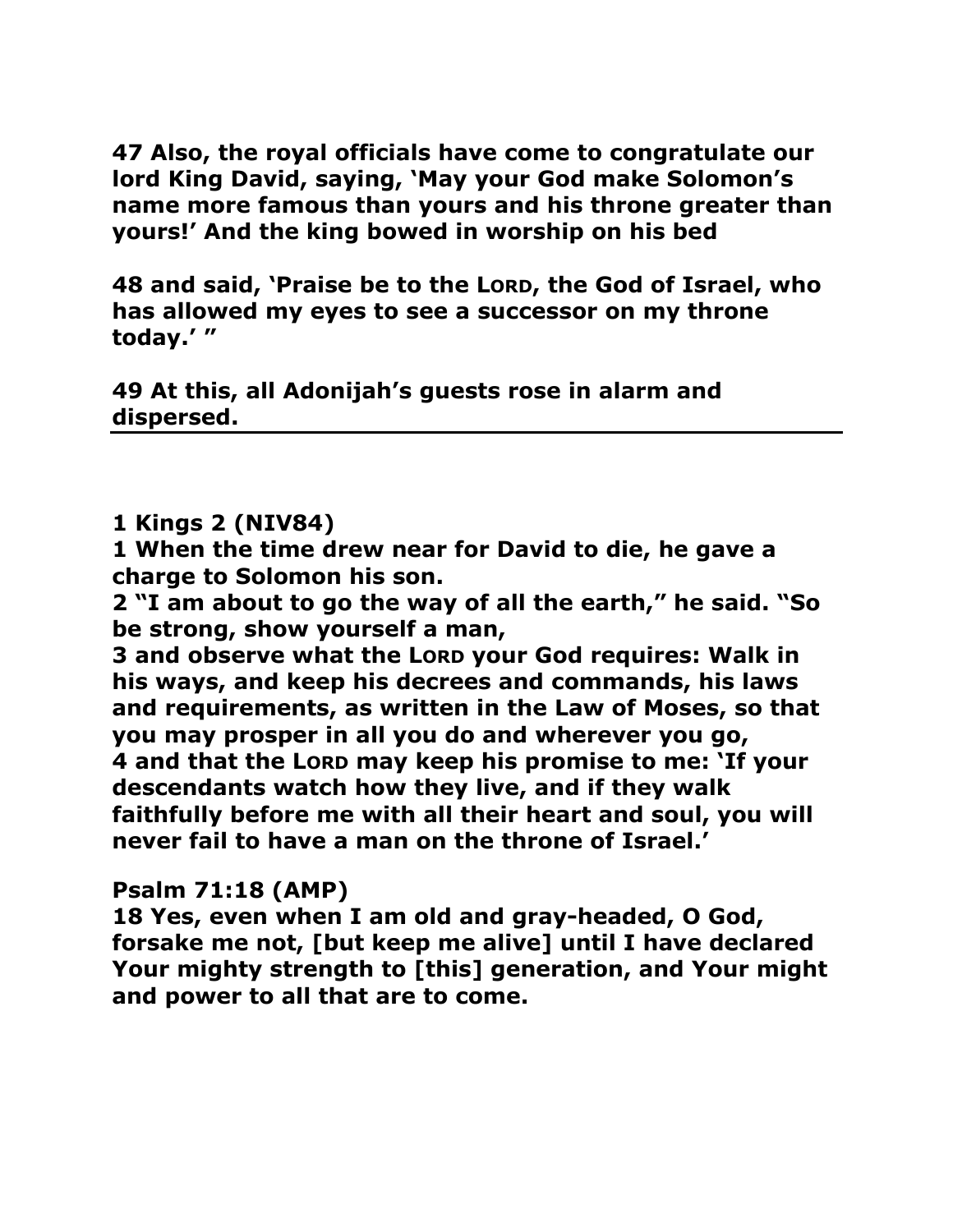**47 Also, the royal officials have come to congratulate our lord King David, saying, 'May your God make Solomon's name more famous than yours and his throne greater than yours!' And the king bowed in worship on his bed** 

**48 and said, 'Praise be to the LORD, the God of Israel, who has allowed my eyes to see a successor on my throne today.' "** 

**49 At this, all Adonijah's guests rose in alarm and dispersed.** 

## **1 Kings 2 (NIV84)**

**1 When the time drew near for David to die, he gave a charge to Solomon his son.** 

**2 "I am about to go the way of all the earth," he said. "So be strong, show yourself a man,**

**3 and observe what the LORD your God requires: Walk in his ways, and keep his decrees and commands, his laws and requirements, as written in the Law of Moses, so that you may prosper in all you do and wherever you go, 4 and that the LORD may keep his promise to me: 'If your descendants watch how they live, and if they walk faithfully before me with all their heart and soul, you will never fail to have a man on the throne of Israel.'** 

#### **Psalm 71:18 (AMP)**

**18 Yes, even when I am old and gray-headed, O God, forsake me not, [but keep me alive] until I have declared Your mighty strength to [this] generation, and Your might and power to all that are to come.**